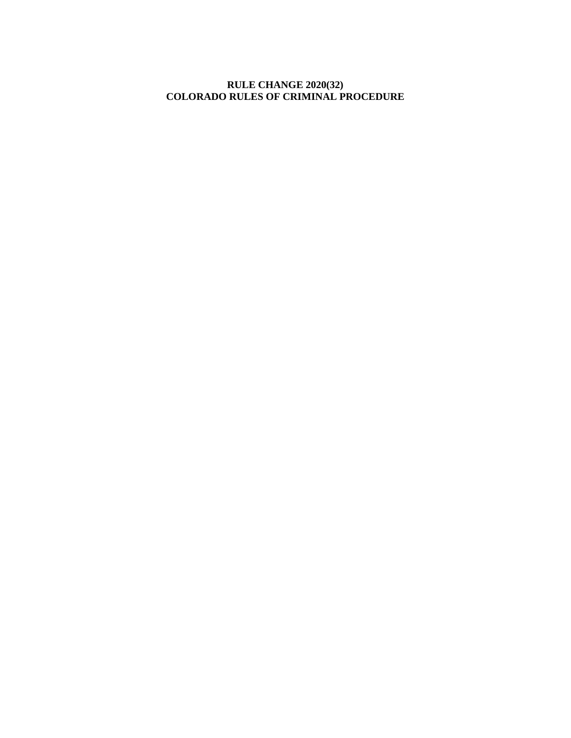# **RULE CHANGE 2020(32) COLORADO RULES OF CRIMINAL PROCEDURE**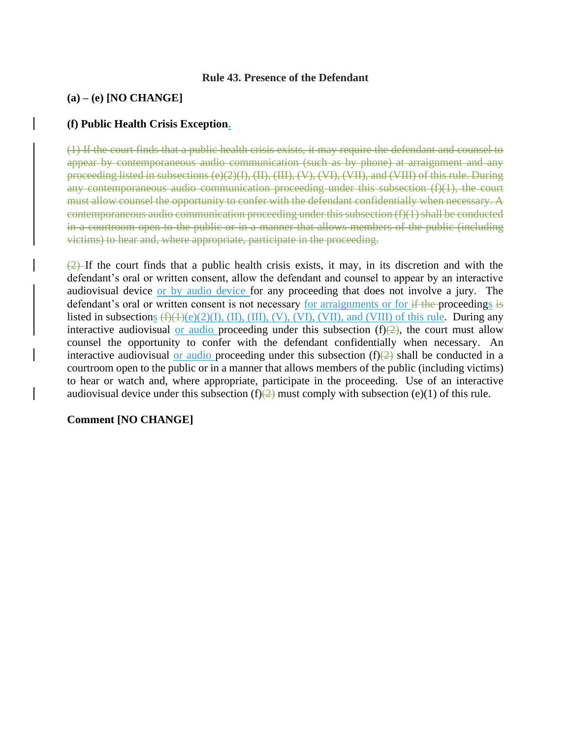### **Rule 43. Presence of the Defendant**

## **(a) – (e) [NO CHANGE]**

## **(f) Public Health Crisis Exception.**

(1) If the court finds that a public health crisis exists, it may require the defendant and counsel to appear by contemporaneous audio communication (such as by phone) at arraignment and any proceeding listed in subsections  $(e)(2)(I), (II), (VI), (VI), (VII),$  and  $(VIII)$  of this rule. During any contemporaneous audio communication proceeding under this subsection (f)(1), the court must allow counsel the opportunity to confer with the defendant confidentially when necessary. A contemporaneous audio communication proceeding under this subsection (f)(1) shall be conducted in a courtroom open to the public or in a manner that allows members of the public (including victims) to hear and, where appropriate, participate in the proceeding.

 $(2)$ -If the court finds that a public health crisis exists, it may, in its discretion and with the defendant's oral or written consent, allow the defendant and counsel to appear by an interactive audiovisual device or by audio device for any proceeding that does not involve a jury. The defendant's oral or written consent is not necessary for arraignments or for if the proceedings is listed in subsections  $(f)(1)(e)(2)(I), (II), (III), (V), (VI), (VII),$  and (VIII) of this rule. During any interactive audiovisual or audio proceeding under this subsection  $(f)(2)$ , the court must allow counsel the opportunity to confer with the defendant confidentially when necessary. An interactive audiovisual or audio proceeding under this subsection  $(f)(2)$  shall be conducted in a courtroom open to the public or in a manner that allows members of the public (including victims) to hear or watch and, where appropriate, participate in the proceeding. Use of an interactive audiovisual device under this subsection (f) $\left(\frac{2}{2}\right)$  must comply with subsection (e)(1) of this rule.

#### **Comment [NO CHANGE]**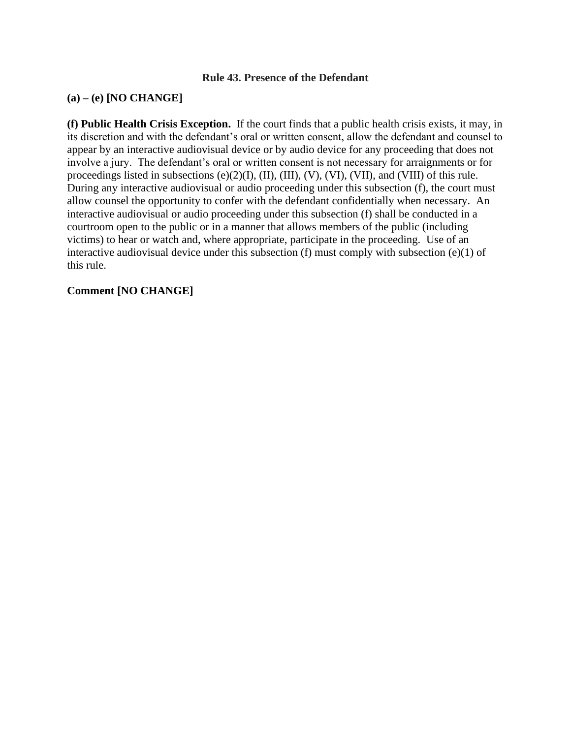## **Rule 43. Presence of the Defendant**

## **(a) – (e) [NO CHANGE]**

**(f) Public Health Crisis Exception.** If the court finds that a public health crisis exists, it may, in its discretion and with the defendant's oral or written consent, allow the defendant and counsel to appear by an interactive audiovisual device or by audio device for any proceeding that does not involve a jury. The defendant's oral or written consent is not necessary for arraignments or for proceedings listed in subsections (e)(2)(I), (II), (III), (V), (VI), (VII), and (VIII) of this rule. During any interactive audiovisual or audio proceeding under this subsection (f), the court must allow counsel the opportunity to confer with the defendant confidentially when necessary. An interactive audiovisual or audio proceeding under this subsection (f) shall be conducted in a courtroom open to the public or in a manner that allows members of the public (including victims) to hear or watch and, where appropriate, participate in the proceeding. Use of an interactive audiovisual device under this subsection (f) must comply with subsection (e)(1) of this rule.

## **Comment [NO CHANGE]**